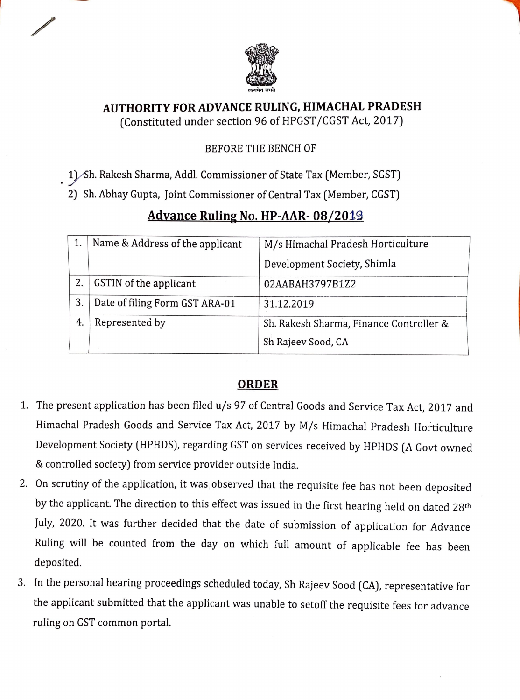

## AUTHORITY FOR ADVANCE RULING, HIMACHAL PRADESH (Constituted under section 96 of HPGST/CGST Act, 2017)

## BEFORE THE BENCH OF

1) Sh. Rakesh Sharma, Addl. Commissioner of State Tax (Member, SGST)

2) Sh. Abhay Gupta, Joint Commissioner of Central Tax (Member, CGST)

|    | Name & Address of the applicant | M/s Himachal Pradesh Horticulture       |
|----|---------------------------------|-----------------------------------------|
|    |                                 | Development Society, Shimla             |
|    | GSTIN of the applicant          | 02AABAH3797B1Z2                         |
| 3. | Date of filing Form GST ARA-01  | 31.12.2019                              |
| 4. | Represented by                  | Sh. Rakesh Sharma, Finance Controller & |
|    |                                 | Sh Rajeev Sood, CA                      |

## Advance Ruling No. HP-AAR-08/2019

## ORDER

- 1. The present application has been filed u/s 97 of Central Goods and Service Tax Act, 2017 and Himachal Pradesh Goods and Service Tax Act, 2017 by M/s Himachal Pradesh Horticulture Development Society (HPHDS), regarding GST on services received by HPliDS (A Govt owned &controlled society) from service provider outside India.
- 2. On scrutiny of the application, it was observed that the requisite fee has not been deposited by the applicant. The direction to this effect was issued in the first hearing held on dated 28th July, 2020. It was further decided that the date of submission of application for Advance Ruling will be counted from the day on which full amount of applicable fee has been deposited.
- 3. In the personal hearing proceedings scheduled today, Sh Rajeev Sood (CA), representative for the applicant submitted that the applicant was unable to setoff the requisite fees for advance ruling on GST common portal.